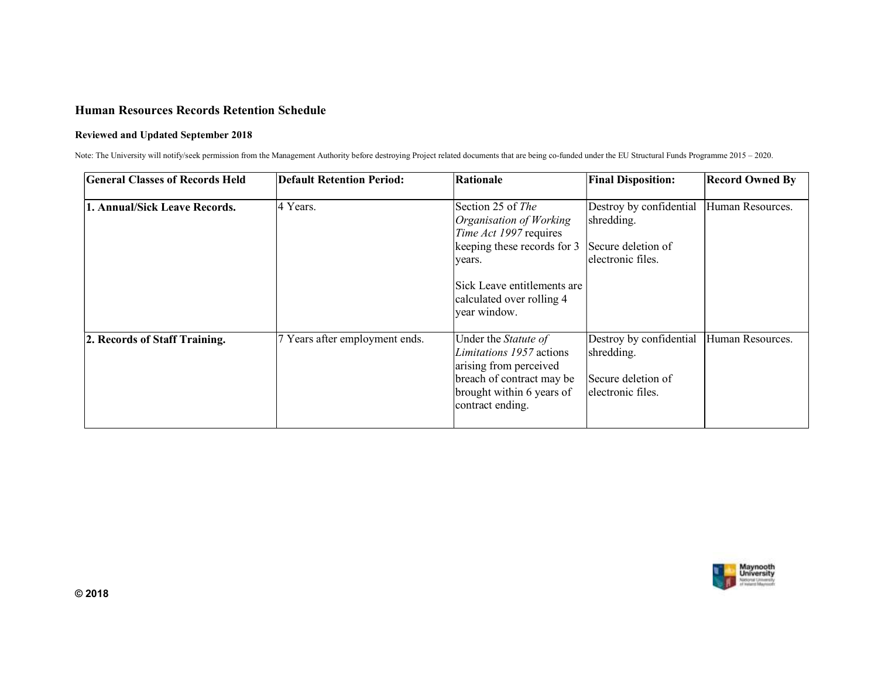## Human Resources Records Retention Schedule

## Reviewed and Updated September 2018

Note: The University will notify/seek permission from the Management Authority before destroying Project related documents that are being co-funded under the EU Structural Funds Programme 2015 - 2020.

| <b>General Classes of Records Held</b> | <b>Default Retention Period:</b> | Rationale                                                                                                                                                                                   | <b>Final Disposition:</b>                                                         | <b>Record Owned By</b> |
|----------------------------------------|----------------------------------|---------------------------------------------------------------------------------------------------------------------------------------------------------------------------------------------|-----------------------------------------------------------------------------------|------------------------|
| 1. Annual/Sick Leave Records.          | 4 Years.                         | Section 25 of The<br>Organisation of Working<br>Time Act 1997 requires<br>keeping these records for 3<br>years.<br>Sick Leave entitlements are<br>calculated over rolling 4<br>vear window. | Destroy by confidential<br>shredding.<br>Secure deletion of<br>electronic files.  | Human Resources.       |
| 2. Records of Staff Training.          | Years after employment ends.     | Under the Statute of<br><i>Limitations 1957</i> actions<br>arising from perceived<br>breach of contract may be<br>brought within 6 years of<br>contract ending.                             | Destroy by confidential<br>shredding.<br>Secure deletion of<br>lelectronic files. | Human Resources.       |

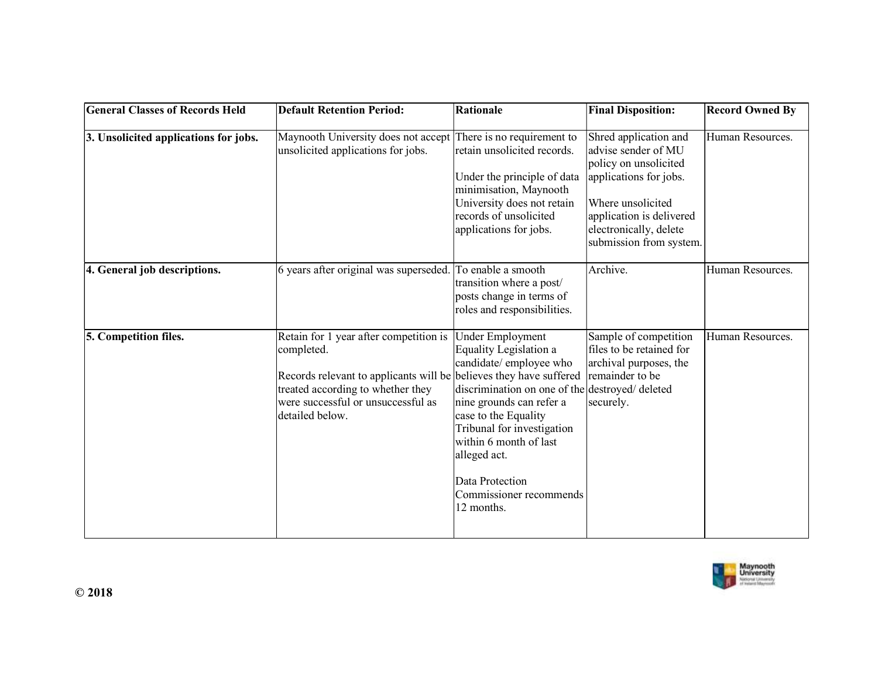| <b>General Classes of Records Held</b> | <b>Default Retention Period:</b>                                                                                                                                                                                         | Rationale                                                                                                                                                                                                                                                                                                        | <b>Final Disposition:</b>                                                                                                                                                                             | <b>Record Owned By</b> |
|----------------------------------------|--------------------------------------------------------------------------------------------------------------------------------------------------------------------------------------------------------------------------|------------------------------------------------------------------------------------------------------------------------------------------------------------------------------------------------------------------------------------------------------------------------------------------------------------------|-------------------------------------------------------------------------------------------------------------------------------------------------------------------------------------------------------|------------------------|
| 3. Unsolicited applications for jobs.  | Maynooth University does not accept<br>unsolicited applications for jobs.                                                                                                                                                | There is no requirement to<br>retain unsolicited records.<br>Under the principle of data<br>minimisation, Maynooth<br>University does not retain<br>records of unsolicited<br>applications for jobs.                                                                                                             | Shred application and<br>advise sender of MU<br>policy on unsolicited<br>applications for jobs.<br>Where unsolicited<br>application is delivered<br>electronically, delete<br>submission from system. | Human Resources.       |
| 4. General job descriptions.           | 6 years after original was superseded.                                                                                                                                                                                   | To enable a smooth<br>transition where a post/<br>posts change in terms of<br>roles and responsibilities.                                                                                                                                                                                                        | Archive.                                                                                                                                                                                              | Human Resources.       |
| 5. Competition files.                  | Retain for 1 year after competition is<br>completed.<br>Records relevant to applicants will be believes they have suffered<br>treated according to whether they<br>were successful or unsuccessful as<br>detailed below. | Under Employment<br>Equality Legislation a<br>candidate/ employee who<br>discrimination on one of the destroyed/ deleted<br>nine grounds can refer a<br>case to the Equality<br>Tribunal for investigation<br>within 6 month of last<br>alleged act.<br>Data Protection<br>Commissioner recommends<br>12 months. | Sample of competition<br>files to be retained for<br>archival purposes, the<br>remainder to be<br>securely.                                                                                           | Human Resources.       |

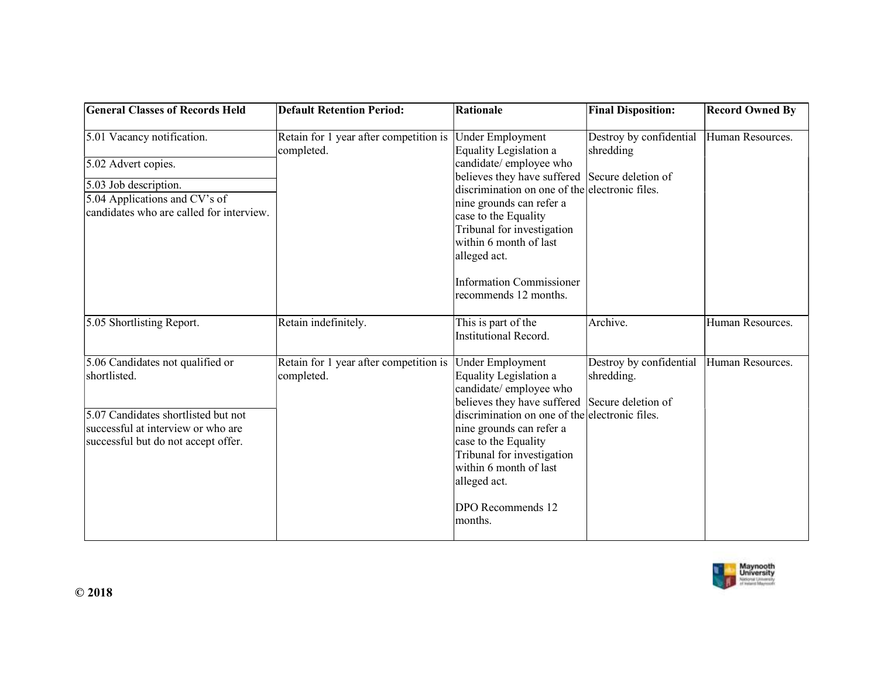| <b>General Classes of Records Held</b>                                                                                                                               | <b>Default Retention Period:</b>                     | Rationale                                                                                                                                                                                                                                                                                                                                                                | <b>Final Disposition:</b>             | <b>Record Owned By</b> |
|----------------------------------------------------------------------------------------------------------------------------------------------------------------------|------------------------------------------------------|--------------------------------------------------------------------------------------------------------------------------------------------------------------------------------------------------------------------------------------------------------------------------------------------------------------------------------------------------------------------------|---------------------------------------|------------------------|
| 5.01 Vacancy notification.<br>5.02 Advert copies.<br>5.03 Job description.<br>5.04 Applications and CV's of<br>candidates who are called for interview.              | Retain for 1 year after competition is<br>completed. | <b>Under Employment</b><br>Equality Legislation a<br>candidate/ employee who<br>believes they have suffered Secure deletion of<br>discrimination on one of the electronic files.<br>nine grounds can refer a<br>case to the Equality<br>Tribunal for investigation<br>within 6 month of last<br>alleged act.<br><b>Information Commissioner</b><br>recommends 12 months. | Destroy by confidential<br>shredding  | Human Resources.       |
| 5.05 Shortlisting Report.                                                                                                                                            | Retain indefinitely.                                 | This is part of the<br><b>Institutional Record.</b>                                                                                                                                                                                                                                                                                                                      | Archive.                              | Human Resources.       |
| 5.06 Candidates not qualified or<br>shortlisted.<br>5.07 Candidates shortlisted but not<br>successful at interview or who are<br>successful but do not accept offer. | Retain for 1 year after competition is<br>completed. | <b>Under Employment</b><br>Equality Legislation a<br>candidate/employee who<br>believes they have suffered Secure deletion of<br>discrimination on one of the electronic files.<br>nine grounds can refer a<br>case to the Equality<br>Tribunal for investigation<br>within 6 month of last<br>alleged act.<br>DPO Recommends 12<br>months.                              | Destroy by confidential<br>shredding. | Human Resources.       |

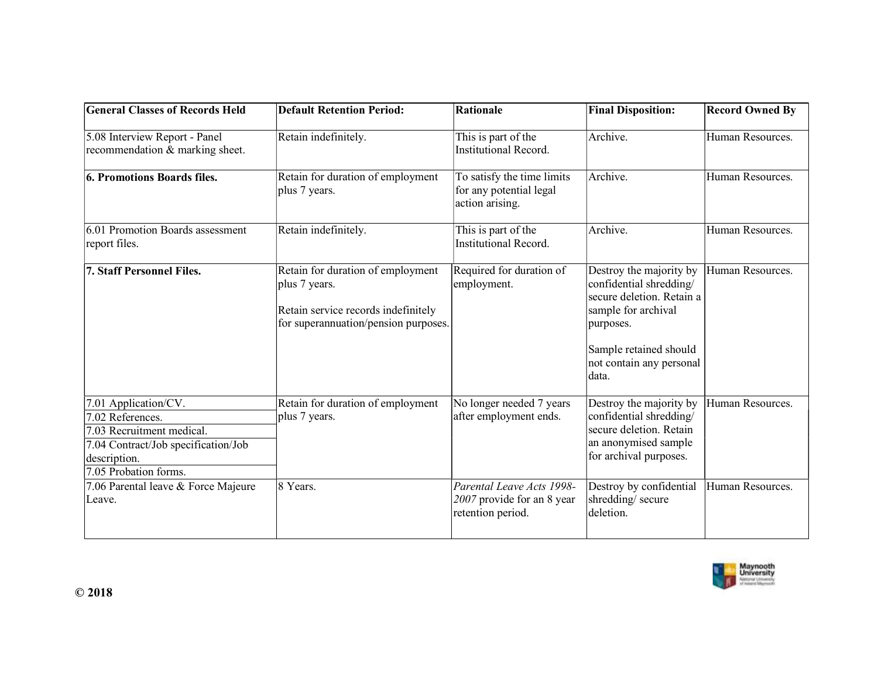| <b>General Classes of Records Held</b>                                                                                                                | <b>Default Retention Period:</b>                                                                                                  | <b>Rationale</b>                                                             | <b>Final Disposition:</b>                                                                                                                                                          | <b>Record Owned By</b> |
|-------------------------------------------------------------------------------------------------------------------------------------------------------|-----------------------------------------------------------------------------------------------------------------------------------|------------------------------------------------------------------------------|------------------------------------------------------------------------------------------------------------------------------------------------------------------------------------|------------------------|
| 5.08 Interview Report - Panel<br>recommendation & marking sheet.                                                                                      | Retain indefinitely.                                                                                                              | This is part of the<br><b>Institutional Record.</b>                          | Archive.                                                                                                                                                                           | Human Resources.       |
| 6. Promotions Boards files.                                                                                                                           | Retain for duration of employment<br>plus 7 years.                                                                                | To satisfy the time limits<br>for any potential legal<br>action arising.     | Archive.                                                                                                                                                                           | Human Resources.       |
| 6.01 Promotion Boards assessment<br>report files.                                                                                                     | Retain indefinitely.                                                                                                              | This is part of the<br><b>Institutional Record.</b>                          | Archive.                                                                                                                                                                           | Human Resources.       |
| 7. Staff Personnel Files.                                                                                                                             | Retain for duration of employment<br>plus 7 years.<br>Retain service records indefinitely<br>for superannuation/pension purposes. | Required for duration of<br>employment.                                      | Destroy the majority by<br>confidential shredding/<br>secure deletion. Retain a<br>sample for archival<br>purposes.<br>Sample retained should<br>not contain any personal<br>data. | Human Resources.       |
| 7.01 Application/CV.<br>7.02 References.<br>7.03 Recruitment medical.<br>7.04 Contract/Job specification/Job<br>description.<br>7.05 Probation forms. | Retain for duration of employment<br>plus 7 years.                                                                                | No longer needed 7 years<br>after employment ends.                           | Destroy the majority by<br>confidential shredding/<br>secure deletion. Retain<br>an anonymised sample<br>for archival purposes.                                                    | Human Resources.       |
| 7.06 Parental leave & Force Majeure<br>Leave.                                                                                                         | 8 Years.                                                                                                                          | Parental Leave Acts 1998-<br>2007 provide for an 8 year<br>retention period. | Destroy by confidential<br>shredding/secure<br>deletion.                                                                                                                           | Human Resources.       |

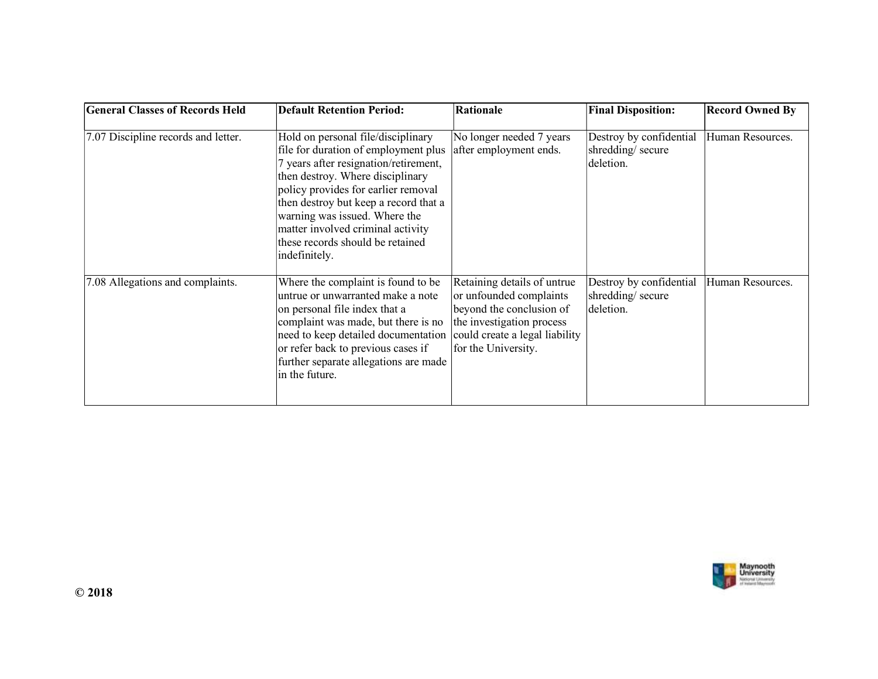| <b>General Classes of Records Held</b> | <b>Default Retention Period:</b>                                                                                                                                                                                                                                                                                                                                   | Rationale                                                                                                                                                                | <b>Final Disposition:</b>                                | <b>Record Owned By</b> |
|----------------------------------------|--------------------------------------------------------------------------------------------------------------------------------------------------------------------------------------------------------------------------------------------------------------------------------------------------------------------------------------------------------------------|--------------------------------------------------------------------------------------------------------------------------------------------------------------------------|----------------------------------------------------------|------------------------|
| 7.07 Discipline records and letter.    | Hold on personal file/disciplinary<br>file for duration of employment plus<br>7 years after resignation/retirement,<br>then destroy. Where disciplinary<br>policy provides for earlier removal<br>then destroy but keep a record that a<br>warning was issued. Where the<br>matter involved criminal activity<br>these records should be retained<br>indefinitely. | No longer needed 7 years<br>after employment ends.                                                                                                                       | Destroy by confidential<br>shredding/secure<br>deletion. | Human Resources.       |
| 7.08 Allegations and complaints.       | Where the complaint is found to be<br>untrue or unwarranted make a note<br>on personal file index that a<br>complaint was made, but there is no<br>need to keep detailed documentation<br>or refer back to previous cases if<br>further separate allegations are made<br>in the future.                                                                            | Retaining details of untrue<br>or unfounded complaints<br>beyond the conclusion of<br>the investigation process<br>could create a legal liability<br>for the University. | Destroy by confidential<br>shredding/secure<br>deletion. | Human Resources.       |